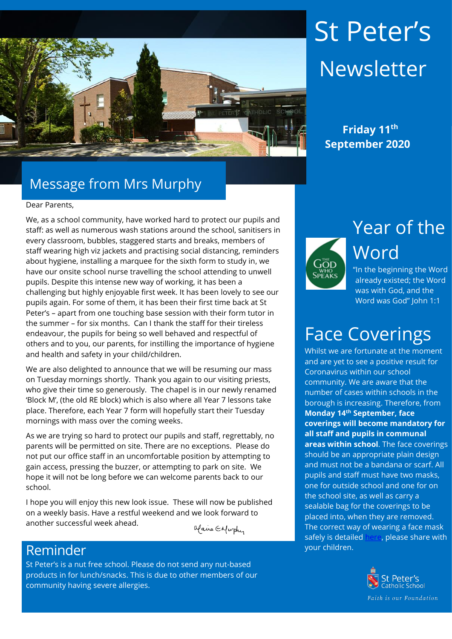

# St Peter's **Newsletter**

 **Friday 11th September 2020**

### Message from Mrs Murphy

#### Dear Parents,

We, as a school community, have worked hard to protect our pupils and staff: as well as numerous wash stations around the school, sanitisers in every classroom, bubbles, staggered starts and breaks, members of staff wearing high viz jackets and practising social distancing, reminders about hygiene, installing a marquee for the sixth form to study in, we have our onsite school nurse travelling the school attending to unwell pupils. Despite this intense new way of working, it has been a challenging but highly enjoyable first week. It has been lovely to see our pupils again. For some of them, it has been their first time back at St Peter's – apart from one touching base session with their form tutor in the summer – for six months. Can I thank the staff for their tireless endeavour, the pupils for being so well behaved and respectful of others and to you, our parents, for instilling the importance of hygiene and health and safety in your child/children.

We are also delighted to announce that we will be resuming our mass on Tuesday mornings shortly. Thank you again to our visiting priests, who give their time so generously. The chapel is in our newly renamed 'Block M', (the old RE block) which is also where all Year 7 lessons take place. Therefore, each Year 7 form will hopefully start their Tuesday mornings with mass over the coming weeks.

As we are trying so hard to protect our pupils and staff, regrettably, no parents will be permitted on site. There are no exceptions. Please do not put our office staff in an uncomfortable position by attempting to gain access, pressing the buzzer, or attempting to park on site. We hope it will not be long before we can welcome parents back to our school.

I hope you will enjoy this new look issue. These will now be published on a weekly basis. Have a restful weekend and we look forward to another successful week ahead.

Maire ENwphy

#### **Reminder.** The contract of the contract of the contract of the contract of the contract of the contract of the contract of the contract of the contract of the contract of the contract of the contract of the contract of th

St Peter's is a nut free school. Please do not send any nut-based products in for lunch/snacks. This is due to other members of our community having severe allergies.



Year of the Word

"In the beginning the Word already existed; the Word was with God, and the Word was God" John 1:1

### Face Coverings

Whilst we are fortunate at the moment and are yet to see a positive result for Coronavirus within our school community. We are aware that the number of cases within schools in the borough is increasing. Therefore, from **Monday 14th September, face coverings will become mandatory for all staff and pupils in communal areas within school**. The face coverings should be an appropriate plain design and must not be a bandana or scarf. All pupils and staff must have two masks, one for outside school and one for on the school site, as well as carry a sealable bag for the coverings to be placed into, when they are removed. The correct way of wearing a face mask safely is detailed [here,](https://www.who.int/images/default-source/health-topics/coronavirus/clothing-masks-infographic---(web)-logo-who.png?sfvrsn=b15e3742_16) please share with

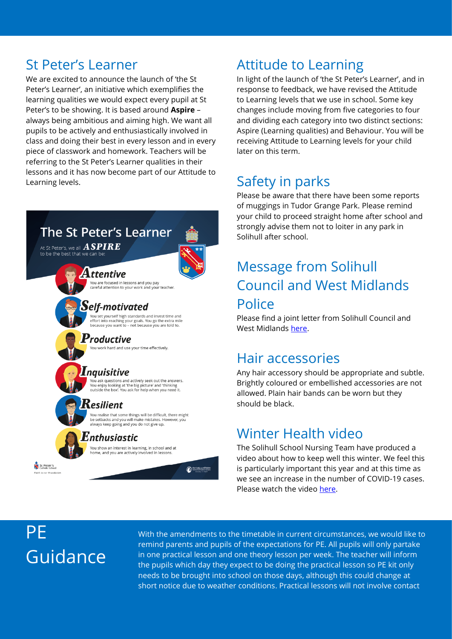We are excited to announce the launch of 'the St Peter's Learner', an initiative which exemplifies the learning qualities we would expect every pupil at St Peter's to be showing. It is based around **Aspire** – always being ambitious and aiming high. We want all pupils to be actively and enthusiastically involved in class and doing their best in every lesson and in every piece of classwork and homework. Teachers will be referring to the St Peter's Learner qualities in their lessons and it has now become part of our Attitude to Learning levels.

## The St Peter's Learner

At St Peter's, we all  $\bm{ASPIRE}$ 

**Attentive** You are focused in lessons and you pay<br>careful attention to your work and your teacher.

#### Self-motivated

buset yourself high standards and invest time and<br>effort into reaching your goals. You go the extra mile<br>because you want to - not because you are told to.

#### **Productive**

You work hard and use your time effectively.

#### Inguisitive

va<br>You ask questions and actively seek out the answers.<br>You enjoy looking at 'the big picture' and 'thinking<br>outside the box'. You ask for help when you need it.

#### Kesilient

You realise that some things will be difficult, there might<br>be setbacks and you will make mistakes. However, you<br>always keep going and you do not give up.

Our Lody and All Saints

#### *Enthusiastic*

You show an interest in learning, in school and at home, and you are actively involved in lessons

#### St Peter's

### St Peter's Learner **Attitude to Learning**

In light of the launch of 'the St Peter's Learner', and in response to feedback, we have revised the Attitude to Learning levels that we use in school. Some key changes include moving from five categories to four and dividing each category into two distinct sections: Aspire (Learning qualities) and Behaviour. You will be receiving Attitude to Learning levels for your child later on this term.

### Safety in parks

Please be aware that there have been some reports of muggings in Tudor Grange Park. Please remind your child to proceed straight home after school and strongly advise them not to loiter in any park in Solihull after school.

### Message from Solihull Council and West Midlands **Police**

Please find a joint letter from Solihull Council and West Midlands [here.](https://www.st-peters.solihull.sch.uk/media/uploads/SMBCWMPJointLetterToParents20200908__1539620.pdf)

#### Hair accessories

Any hair accessory should be appropriate and subtle. Brightly coloured or embellished accessories are not allowed. Plain hair bands can be worn but they should be black.

### Winter Health video

The Solihull School Nursing Team have produced a video about how to keep well this winter. We feel this is particularly important this year and at this time as we see an increase in the number of COVID-19 cases. Please watch the video [here.](https://youtu.be/y_2IBwox8hE)

### PE Guidance

With the amendments to the timetable in current circumstances, we would like to remind parents and pupils of the expectations for PE. All pupils will only partake in one practical lesson and one theory lesson per week. The teacher will inform the pupils which day they expect to be doing the practical lesson so PE kit only needs to be brought into school on those days, although this could change at short notice due to weather conditions. Practical lessons will not involve contact